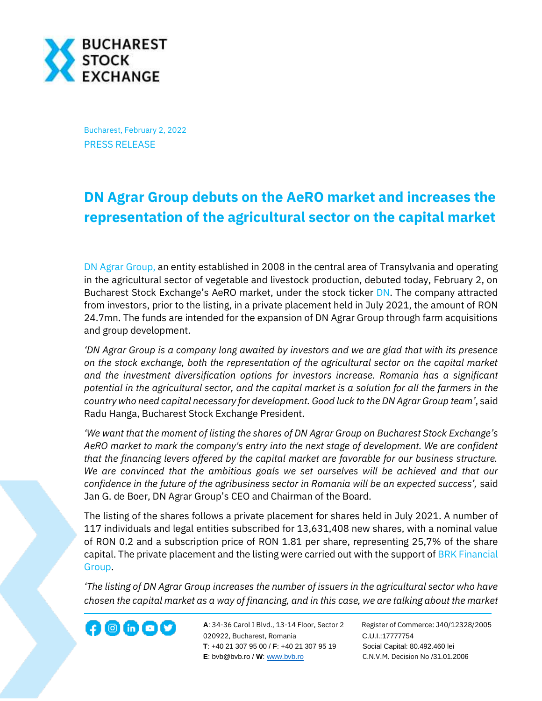

Bucharest, February 2, 2022 PRESS RELEASE

## **DN Agrar Group debuts on the AeRO market and increases the representation of the agricultural sector on the capital market**

[DN Agrar Group,](https://dn-agrar.eu/) an entity established in 2008 in the central area of Transylvania and operating in the agricultural sector of vegetable and livestock production, debuted today, February 2, on Bucharest Stock Exchange's AeRO market, under the stock ticker [DN.](https://bvb.ro/FinancialInstruments/Details/FinancialInstrumentsDetails.aspx?s=dn) The company attracted from investors, prior to the listing, in a private placement held in July 2021, the amount of RON 24.7mn. The funds are intended for the expansion of DN Agrar Group through farm acquisitions and group development.

*'DN Agrar Group is a company long awaited by investors and we are glad that with its presence on the stock exchange, both the representation of the agricultural sector on the capital market and the investment diversification options for investors increase. Romania has a significant potential in the agricultural sector, and the capital market is a solution for all the farmers in the country who need capital necessary for development. Good luck to the DN Agrar Group team'*, said Radu Hanga, Bucharest Stock Exchange President.

*'We want that the moment of listing the shares of DN Agrar Group on Bucharest Stock Exchange's AeRO market to mark the company's entry into the next stage of development. We are confident that the financing levers offered by the capital market are favorable for our business structure. We are convinced that the ambitious goals we set ourselves will be achieved and that our confidence in the future of the agribusiness sector in Romania will be an expected success',* said Jan G. de Boer, DN Agrar Group's CEO and Chairman of the Board.

The listing of the shares follows a private placement for shares held in July 2021. A number of 117 individuals and legal entities subscribed for 13,631,408 new shares, with a nominal value of RON 0.2 and a subscription price of RON 1.81 per share, representing 25,7% of the share capital. The private placement and the listing were carried out with the support of BRK Financial [Group.](https://www.brk.ro/)

*'The listing of DN Agrar Group increases the number of issuers in the agricultural sector who have chosen the capital market as a way of financing, and in this case, we are talking about the market* 

**A**: 34-36 Carol I Blvd., 13-14 Floor, Sector 2 Register of Commerce: J40/12328/2005 **1200 CD CD CONF** A: 34-36 Carol I Blvd., 13-14 Floor, Sector 2 Register of Comm<br>020922, Bucharest, Romania C.U.I.:17777754  **T**: +40 21 307 95 00 / **F**: +40 21 307 95 19 Social Capital: 80.492.460 lei **E**: bvb@bvb.ro / **W**[: www.bvb.ro](http://www.bvb.ro/) C.N.V.M. Decision No /31.01.2006